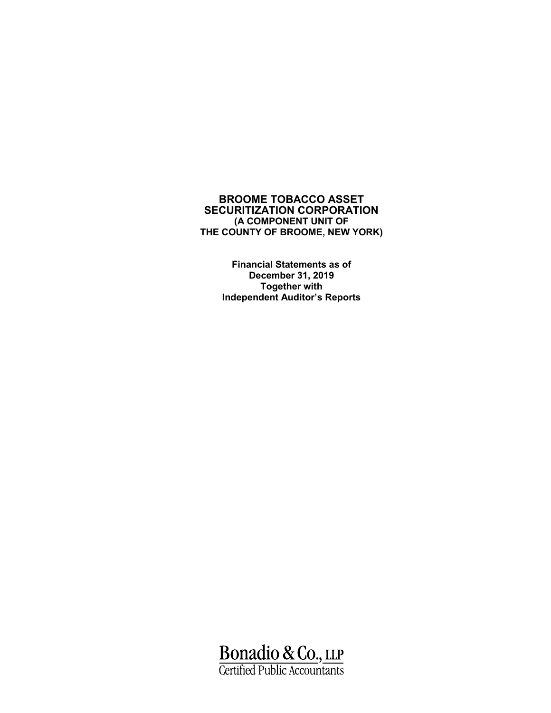> **Financial Statements as of December 31, 2019 Together with Independent Auditor's Reports**

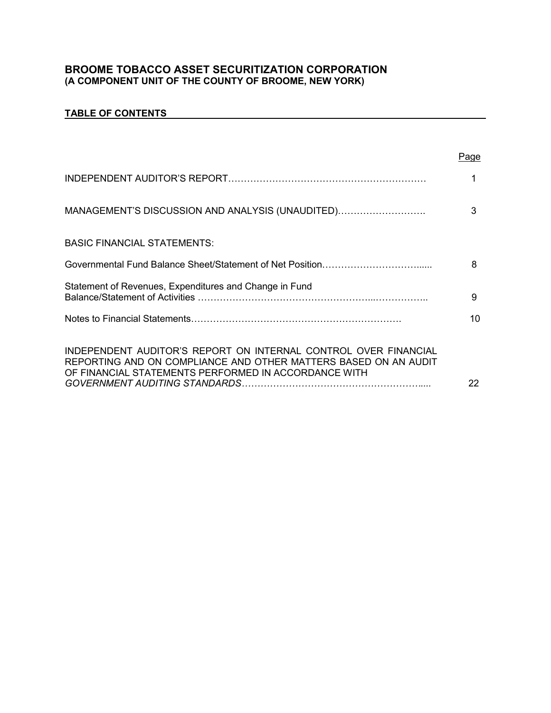# **TABLE OF CONTENTS**

|                                                                                                                                                                                            | Page |
|--------------------------------------------------------------------------------------------------------------------------------------------------------------------------------------------|------|
|                                                                                                                                                                                            | 1    |
| MANAGEMENT'S DISCUSSION AND ANALYSIS (UNAUDITED)                                                                                                                                           | 3    |
| <b>BASIC FINANCIAL STATEMENTS:</b>                                                                                                                                                         |      |
|                                                                                                                                                                                            | 8    |
| Statement of Revenues, Expenditures and Change in Fund                                                                                                                                     | 9    |
|                                                                                                                                                                                            | 10   |
| INDEPENDENT AUDITOR'S REPORT ON INTERNAL CONTROL OVER FINANCIAL<br>REPORTING AND ON COMPLIANCE AND OTHER MATTERS BASED ON AN AUDIT<br>OF FINANCIAL STATEMENTS PERFORMED IN ACCORDANCE WITH | 22   |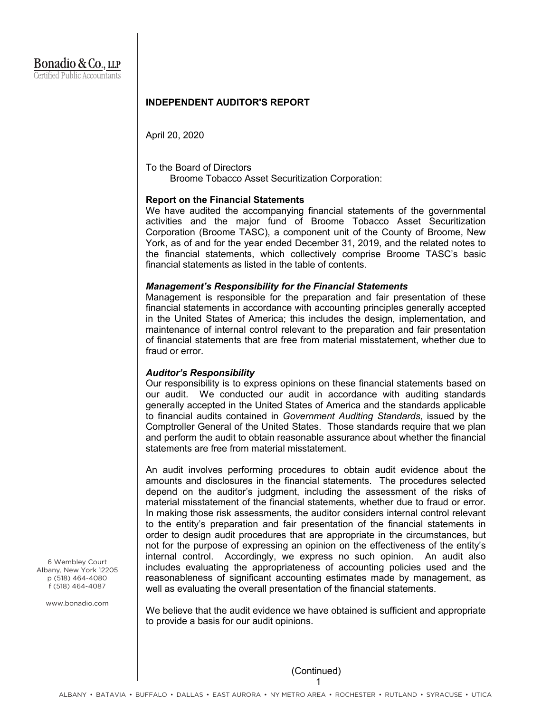### **INDEPENDENT AUDITOR'S REPORT**

April 20, 2020

To the Board of Directors Broome Tobacco Asset Securitization Corporation:

#### **Report on the Financial Statements**

We have audited the accompanying financial statements of the governmental activities and the major fund of Broome Tobacco Asset Securitization Corporation (Broome TASC), a component unit of the County of Broome, New York, as of and for the year ended December 31, 2019, and the related notes to the financial statements, which collectively comprise Broome TASC's basic financial statements as listed in the table of contents.

#### *Management's Responsibility for the Financial Statements*

Management is responsible for the preparation and fair presentation of these financial statements in accordance with accounting principles generally accepted in the United States of America; this includes the design, implementation, and maintenance of internal control relevant to the preparation and fair presentation of financial statements that are free from material misstatement, whether due to fraud or error.

#### *Auditor's Responsibility*

Our responsibility is to express opinions on these financial statements based on our audit. We conducted our audit in accordance with auditing standards generally accepted in the United States of America and the standards applicable to financial audits contained in *Government Auditing Standards*, issued by the Comptroller General of the United States. Those standards require that we plan and perform the audit to obtain reasonable assurance about whether the financial statements are free from material misstatement.

An audit involves performing procedures to obtain audit evidence about the amounts and disclosures in the financial statements. The procedures selected depend on the auditor's judgment, including the assessment of the risks of material misstatement of the financial statements, whether due to fraud or error. In making those risk assessments, the auditor considers internal control relevant to the entity's preparation and fair presentation of the financial statements in order to design audit procedures that are appropriate in the circumstances, but not for the purpose of expressing an opinion on the effectiveness of the entity's internal control. Accordingly, we express no such opinion. An audit also includes evaluating the appropriateness of accounting policies used and the reasonableness of significant accounting estimates made by management, as well as evaluating the overall presentation of the financial statements.

We believe that the audit evidence we have obtained is sufficient and appropriate to provide a basis for our audit opinions.

6 Wembley Court Albany, New York 12205 p (518) 464-4080 f (518) 464-4087

www.bonadio.com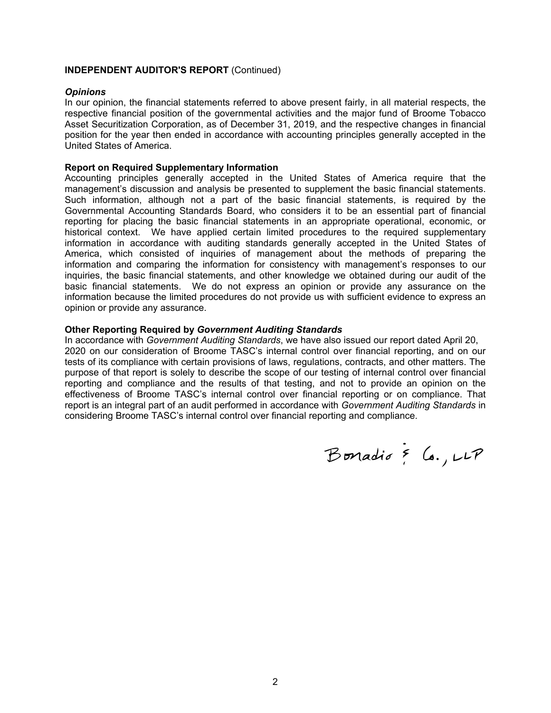#### **INDEPENDENT AUDITOR'S REPORT** (Continued)

#### *Opinions*

In our opinion, the financial statements referred to above present fairly, in all material respects, the respective financial position of the governmental activities and the major fund of Broome Tobacco Asset Securitization Corporation, as of December 31, 2019, and the respective changes in financial position for the year then ended in accordance with accounting principles generally accepted in the United States of America.

#### **Report on Required Supplementary Information**

Accounting principles generally accepted in the United States of America require that the management's discussion and analysis be presented to supplement the basic financial statements. Such information, although not a part of the basic financial statements, is required by the Governmental Accounting Standards Board, who considers it to be an essential part of financial reporting for placing the basic financial statements in an appropriate operational, economic, or historical context. We have applied certain limited procedures to the required supplementary information in accordance with auditing standards generally accepted in the United States of America, which consisted of inquiries of management about the methods of preparing the information and comparing the information for consistency with management's responses to our inquiries, the basic financial statements, and other knowledge we obtained during our audit of the basic financial statements. We do not express an opinion or provide any assurance on the information because the limited procedures do not provide us with sufficient evidence to express an opinion or provide any assurance.

#### **Other Reporting Required by** *Government Auditing Standards*

In accordance with *Government Auditing Standards*, we have also issued our report dated April 20, 2020 on our consideration of Broome TASC's internal control over financial reporting, and on our tests of its compliance with certain provisions of laws, regulations, contracts, and other matters. The purpose of that report is solely to describe the scope of our testing of internal control over financial reporting and compliance and the results of that testing, and not to provide an opinion on the effectiveness of Broome TASC's internal control over financial reporting or on compliance. That report is an integral part of an audit performed in accordance with *Government Auditing Standards* in considering Broome TASC's internal control over financial reporting and compliance.

Bonadio & Co., LLP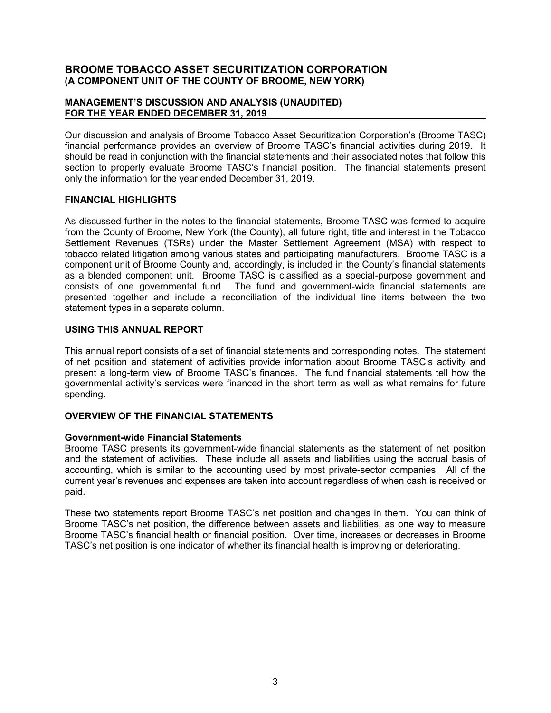### **MANAGEMENT'S DISCUSSION AND ANALYSIS (UNAUDITED) FOR THE YEAR ENDED DECEMBER 31, 2019**

Our discussion and analysis of Broome Tobacco Asset Securitization Corporation's (Broome TASC) financial performance provides an overview of Broome TASC's financial activities during 2019. It should be read in conjunction with the financial statements and their associated notes that follow this section to properly evaluate Broome TASC's financial position. The financial statements present only the information for the year ended December 31, 2019.

# **FINANCIAL HIGHLIGHTS**

As discussed further in the notes to the financial statements, Broome TASC was formed to acquire from the County of Broome, New York (the County), all future right, title and interest in the Tobacco Settlement Revenues (TSRs) under the Master Settlement Agreement (MSA) with respect to tobacco related litigation among various states and participating manufacturers. Broome TASC is a component unit of Broome County and, accordingly, is included in the County's financial statements as a blended component unit. Broome TASC is classified as a special-purpose government and consists of one governmental fund. The fund and government-wide financial statements are presented together and include a reconciliation of the individual line items between the two statement types in a separate column.

# **USING THIS ANNUAL REPORT**

This annual report consists of a set of financial statements and corresponding notes. The statement of net position and statement of activities provide information about Broome TASC's activity and present a long-term view of Broome TASC's finances. The fund financial statements tell how the governmental activity's services were financed in the short term as well as what remains for future spending.

# **OVERVIEW OF THE FINANCIAL STATEMENTS**

# **Government-wide Financial Statements**

Broome TASC presents its government-wide financial statements as the statement of net position and the statement of activities. These include all assets and liabilities using the accrual basis of accounting, which is similar to the accounting used by most private-sector companies. All of the current year's revenues and expenses are taken into account regardless of when cash is received or paid.

These two statements report Broome TASC's net position and changes in them. You can think of Broome TASC's net position, the difference between assets and liabilities, as one way to measure Broome TASC's financial health or financial position. Over time, increases or decreases in Broome TASC's net position is one indicator of whether its financial health is improving or deteriorating.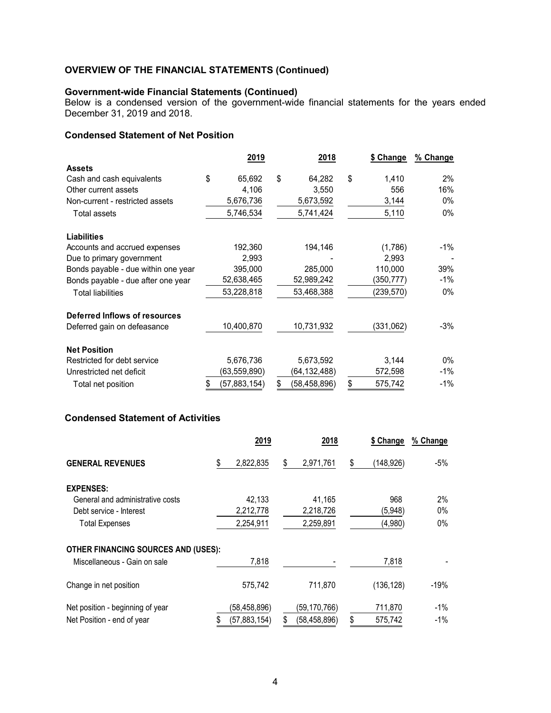#### **Government-wide Financial Statements (Continued)**

Below is a condensed version of the government-wide financial statements for the years ended December 31, 2019 and 2018.

# **Condensed Statement of Net Position**

|                                     | 2019 |                | 2018 |                | \$ Change     | % Change |
|-------------------------------------|------|----------------|------|----------------|---------------|----------|
| <b>Assets</b>                       |      |                |      |                |               |          |
| Cash and cash equivalents           | \$   | 65,692         | \$   | 64,282         | \$<br>1.410   | 2%       |
| Other current assets                |      | 4,106          |      | 3,550          | 556           | 16%      |
| Non-current - restricted assets     |      | 5,676,736      |      | 5,673,592      | 3,144         | $0\%$    |
| Total assets                        |      | 5,746,534      |      | 5,741,424      | 5,110         | 0%       |
| <b>Liabilities</b>                  |      |                |      |                |               |          |
| Accounts and accrued expenses       |      | 192,360        |      | 194,146        | (1,786)       | -1%      |
| Due to primary government           |      | 2,993          |      |                | 2,993         |          |
| Bonds payable - due within one year |      | 395,000        |      | 285,000        | 110,000       | 39%      |
| Bonds payable - due after one year  |      | 52,638,465     |      | 52,989,242     | (350,777)     | -1%      |
| <b>Total liabilities</b>            |      | 53,228,818     |      | 53,468,388     | (239, 570)    | $0\%$    |
| Deferred Inflows of resources       |      |                |      |                |               |          |
| Deferred gain on defeasance         |      | 10,400,870     |      | 10,731,932     | (331,062)     | $-3%$    |
| <b>Net Position</b>                 |      |                |      |                |               |          |
| Restricted for debt service         |      | 5,676,736      |      | 5,673,592      | 3,144         | $0\%$    |
| Unrestricted net deficit            |      | (63,559,890)   |      | (64,132,488)   | 572,598       | $-1\%$   |
| Total net position                  | \$   | (57, 883, 154) | \$   | (58, 458, 896) | \$<br>575,742 | $-1\%$   |

# **Condensed Statement of Activities**

|                                            | 2019            | 2018                 | \$ Change        | % Change |
|--------------------------------------------|-----------------|----------------------|------------------|----------|
| <b>GENERAL REVENUES</b>                    | \$<br>2,822,835 | \$<br>2,971,761      | \$<br>(148, 926) | -5%      |
| <b>EXPENSES:</b>                           |                 |                      |                  |          |
| General and administrative costs           | 42.133          | 41,165               | 968              | $2\%$    |
| Debt service - Interest                    | 2,212,778       | 2,218,726            | (5,948)          | $0\%$    |
| <b>Total Expenses</b>                      | 2,254,911       | 2,259,891            | (4,980)          | 0%       |
| <b>OTHER FINANCING SOURCES AND (USES):</b> |                 |                      |                  |          |
| Miscellaneous - Gain on sale               | 7,818           |                      | 7,818            |          |
| Change in net position                     | 575,742         | 711.870              | (136, 128)       | $-19%$   |
| Net position - beginning of year           | (58,458,896)    | (59, 170, 766)       | 711,870          | -1%      |
| Net Position - end of year                 | (57, 883, 154)  | \$<br>(58, 458, 896) | \$<br>575,742    | $-1\%$   |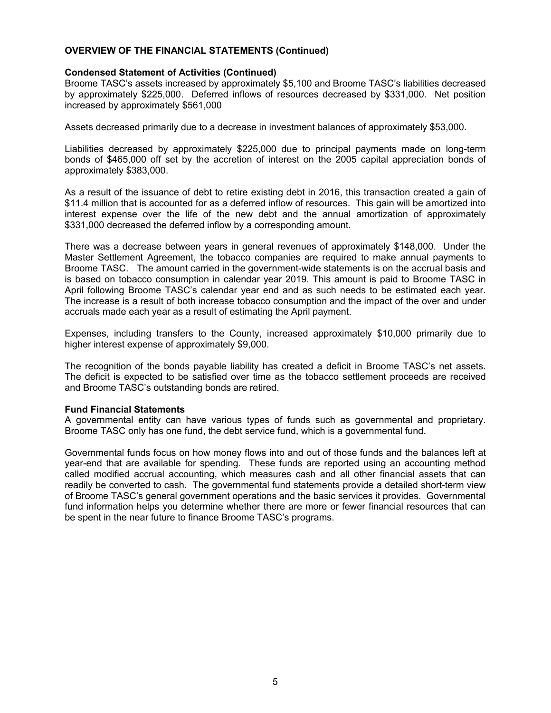### **Condensed Statement of Activities (Continued)**

Broome TASC's assets increased by approximately \$5,100 and Broome TASC's liabilities decreased by approximately \$225,000. Deferred inflows of resources decreased by \$331,000. Net position increased by approximately \$561,000

Assets decreased primarily due to a decrease in investment balances of approximately \$53,000.

Liabilities decreased by approximately \$225,000 due to principal payments made on long-term bonds of \$465,000 off set by the accretion of interest on the 2005 capital appreciation bonds of approximately \$383,000.

As a result of the issuance of debt to retire existing debt in 2016, this transaction created a gain of \$11.4 million that is accounted for as a deferred inflow of resources. This gain will be amortized into interest expense over the life of the new debt and the annual amortization of approximately \$331,000 decreased the deferred inflow by a corresponding amount.

There was a decrease between years in general revenues of approximately \$148,000. Under the Master Settlement Agreement, the tobacco companies are required to make annual payments to Broome TASC. The amount carried in the government-wide statements is on the accrual basis and is based on tobacco consumption in calendar year 2019. This amount is paid to Broome TASC in April following Broome TASC's calendar year end and as such needs to be estimated each year. The increase is a result of both increase tobacco consumption and the impact of the over and under accruals made each year as a result of estimating the April payment.

Expenses, including transfers to the County, increased approximately \$10,000 primarily due to higher interest expense of approximately \$9,000.

The recognition of the bonds payable liability has created a deficit in Broome TASC's net assets. The deficit is expected to be satisfied over time as the tobacco settlement proceeds are received and Broome TASC's outstanding bonds are retired.

#### **Fund Financial Statements**

A governmental entity can have various types of funds such as governmental and proprietary. Broome TASC only has one fund, the debt service fund, which is a governmental fund.

Governmental funds focus on how money flows into and out of those funds and the balances left at year-end that are available for spending. These funds are reported using an accounting method called modified accrual accounting, which measures cash and all other financial assets that can readily be converted to cash. The governmental fund statements provide a detailed short-term view of Broome TASC's general government operations and the basic services it provides. Governmental fund information helps you determine whether there are more or fewer financial resources that can be spent in the near future to finance Broome TASC's programs.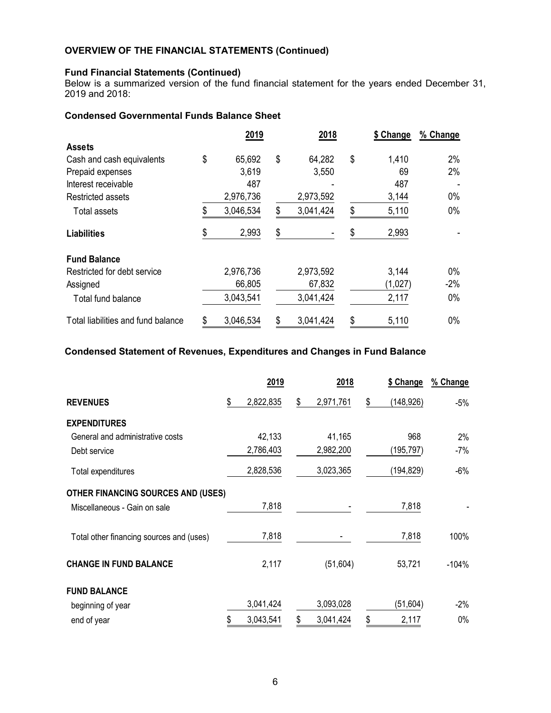# **Fund Financial Statements (Continued)**

Below is a summarized version of the fund financial statement for the years ended December 31, 2019 and 2018:

# **Condensed Governmental Funds Balance Sheet**

|                                    | 2019            |    | 2018      |    |         | % Change |
|------------------------------------|-----------------|----|-----------|----|---------|----------|
| <b>Assets</b>                      |                 |    |           |    |         |          |
| Cash and cash equivalents          | \$<br>65,692    | \$ | 64,282    | \$ | 1,410   | 2%       |
| Prepaid expenses                   | 3,619           |    | 3,550     |    | 69      | 2%       |
| Interest receivable                | 487             |    |           |    | 487     |          |
| <b>Restricted assets</b>           | 2,976,736       |    | 2,973,592 |    | 3,144   | 0%       |
| Total assets                       | 3,046,534       | \$ | 3,041,424 | \$ | 5,110   | $0\%$    |
| <b>Liabilities</b>                 | \$<br>2,993     | \$ |           | \$ | 2,993   |          |
| <b>Fund Balance</b>                |                 |    |           |    |         |          |
| Restricted for debt service        | 2,976,736       |    | 2,973,592 |    | 3,144   | $0\%$    |
| Assigned                           | 66,805          |    | 67,832    |    | (1,027) | $-2%$    |
| Total fund balance                 | 3,043,541       |    | 3,041,424 |    | 2,117   | $0\%$    |
| Total liabilities and fund balance | \$<br>3,046,534 | \$ | 3,041,424 | \$ | 5,110   | 0%       |

# **Condensed Statement of Revenues, Expenditures and Changes in Fund Balance**

|                                           | 2019            | 2018            | \$ Change       | % Change |
|-------------------------------------------|-----------------|-----------------|-----------------|----------|
| <b>REVENUES</b>                           | \$<br>2,822,835 | \$<br>2,971,761 | \$<br>(148,926) | $-5%$    |
| <b>EXPENDITURES</b>                       |                 |                 |                 |          |
| General and administrative costs          | 42,133          | 41,165          | 968             | 2%       |
| Debt service                              | 2,786,403       | 2,982,200       | (195,797)       | $-7%$    |
| Total expenditures                        | 2,828,536       | 3,023,365       | (194,829)       | $-6%$    |
| <b>OTHER FINANCING SOURCES AND (USES)</b> |                 |                 |                 |          |
| Miscellaneous - Gain on sale              | 7,818           |                 | 7,818           |          |
| Total other financing sources and (uses)  | 7,818           |                 | 7,818           | 100%     |
| <b>CHANGE IN FUND BALANCE</b>             | 2,117           | (51, 604)       | 53,721          | $-104%$  |
| <b>FUND BALANCE</b>                       |                 |                 |                 |          |
| beginning of year                         | 3,041,424       | 3,093,028       | (51, 604)       | $-2\%$   |
| end of year                               | 3,043,541       | \$<br>3,041,424 | \$<br>2,117     | 0%       |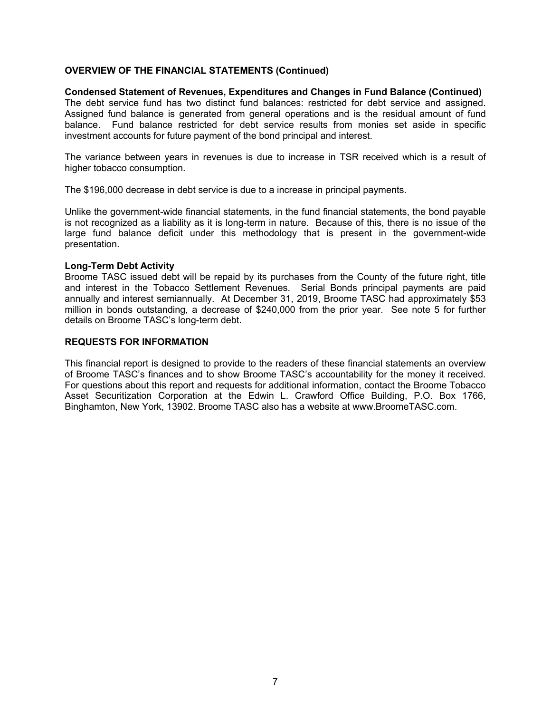## **Condensed Statement of Revenues, Expenditures and Changes in Fund Balance (Continued)** The debt service fund has two distinct fund balances: restricted for debt service and assigned. Assigned fund balance is generated from general operations and is the residual amount of fund balance. Fund balance restricted for debt service results from monies set aside in specific investment accounts for future payment of the bond principal and interest.

The variance between years in revenues is due to increase in TSR received which is a result of higher tobacco consumption.

The \$196,000 decrease in debt service is due to a increase in principal payments.

Unlike the government-wide financial statements, in the fund financial statements, the bond payable is not recognized as a liability as it is long-term in nature. Because of this, there is no issue of the large fund balance deficit under this methodology that is present in the government-wide presentation.

### **Long-Term Debt Activity**

Broome TASC issued debt will be repaid by its purchases from the County of the future right, title and interest in the Tobacco Settlement Revenues. Serial Bonds principal payments are paid annually and interest semiannually. At December 31, 2019, Broome TASC had approximately \$53 million in bonds outstanding, a decrease of \$240,000 from the prior year. See note 5 for further details on Broome TASC's long-term debt.

### **REQUESTS FOR INFORMATION**

This financial report is designed to provide to the readers of these financial statements an overview of Broome TASC's finances and to show Broome TASC's accountability for the money it received. For questions about this report and requests for additional information, contact the Broome Tobacco Asset Securitization Corporation at the Edwin L. Crawford Office Building, P.O. Box 1766, Binghamton, New York, 13902. Broome TASC also has a website at www.BroomeTASC.com.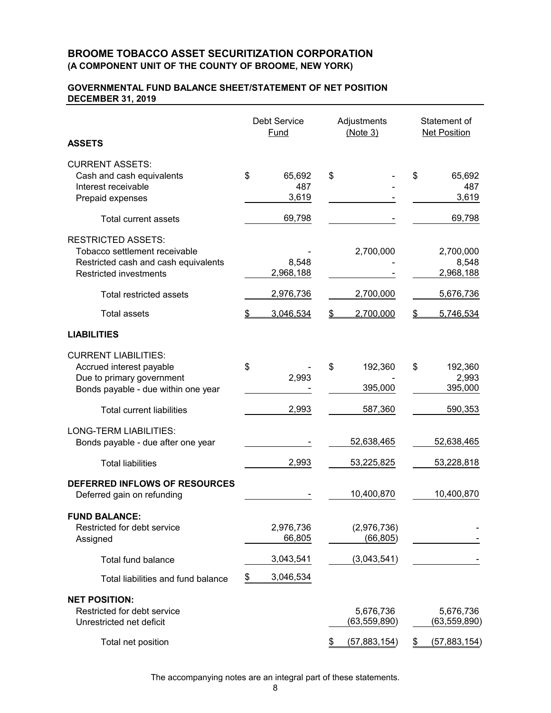### **GOVERNMENTAL FUND BALANCE SHEET/STATEMENT OF NET POSITION DECEMBER 31, 2019**

|                                                                                                                                                                       | <b>Debt Service</b><br>Fund     | Adjustments<br>(Note 3)     | Statement of<br><b>Net Position</b>          |  |  |
|-----------------------------------------------------------------------------------------------------------------------------------------------------------------------|---------------------------------|-----------------------------|----------------------------------------------|--|--|
| <b>ASSETS</b>                                                                                                                                                         |                                 |                             |                                              |  |  |
| <b>CURRENT ASSETS:</b><br>Cash and cash equivalents<br>Interest receivable<br>Prepaid expenses                                                                        | \$<br>65,692<br>487<br>3,619    | \$                          | \$<br>65,692<br>487<br>3,619                 |  |  |
| Total current assets                                                                                                                                                  | 69,798                          |                             | 69,798                                       |  |  |
| <b>RESTRICTED ASSETS:</b><br>Tobacco settlement receivable<br>Restricted cash and cash equivalents<br><b>Restricted investments</b><br><b>Total restricted assets</b> | 8,548<br>2,968,188<br>2,976,736 | 2,700,000<br>2,700,000      | 2,700,000<br>8,548<br>2,968,188<br>5,676,736 |  |  |
| <b>Total assets</b>                                                                                                                                                   | 3,046,534                       | 2,700,000                   | 5,746,534                                    |  |  |
| <b>LIABILITIES</b>                                                                                                                                                    |                                 |                             |                                              |  |  |
| <b>CURRENT LIABILITIES:</b><br>Accrued interest payable<br>Due to primary government<br>Bonds payable - due within one year                                           | \$<br>2,993                     | \$<br>192,360<br>395,000    | \$<br>192,360<br>2,993<br>395,000            |  |  |
| <b>Total current liabilities</b>                                                                                                                                      | 2,993                           | 587,360                     | 590,353                                      |  |  |
| <b>LONG-TERM LIABILITIES:</b><br>Bonds payable - due after one year                                                                                                   |                                 | 52,638,465                  | 52,638,465                                   |  |  |
| <b>Total liabilities</b>                                                                                                                                              | 2,993                           | 53,225,825                  | 53,228,818                                   |  |  |
| <b>DEFERRED INFLOWS OF RESOURCES</b><br>Deferred gain on refunding                                                                                                    |                                 | 10,400,870                  | 10,400,870                                   |  |  |
| <b>FUND BALANCE:</b><br>Restricted for debt service<br>Assigned                                                                                                       | 2,976,736<br>66,805             | (2,976,736)<br>(66, 805)    |                                              |  |  |
| <b>Total fund balance</b>                                                                                                                                             | 3,043,541                       | (3,043,541)                 |                                              |  |  |
| Total liabilities and fund balance                                                                                                                                    | 3,046,534<br>$\frac{1}{2}$      |                             |                                              |  |  |
| <b>NET POSITION:</b><br>Restricted for debt service<br>Unrestricted net deficit                                                                                       |                                 | 5,676,736<br>(63, 559, 890) | 5,676,736<br>(63,559,890)                    |  |  |
| Total net position                                                                                                                                                    |                                 | (57,883,154)<br>\$          | (57, 883, 154)<br>\$                         |  |  |

The accompanying notes are an integral part of these statements.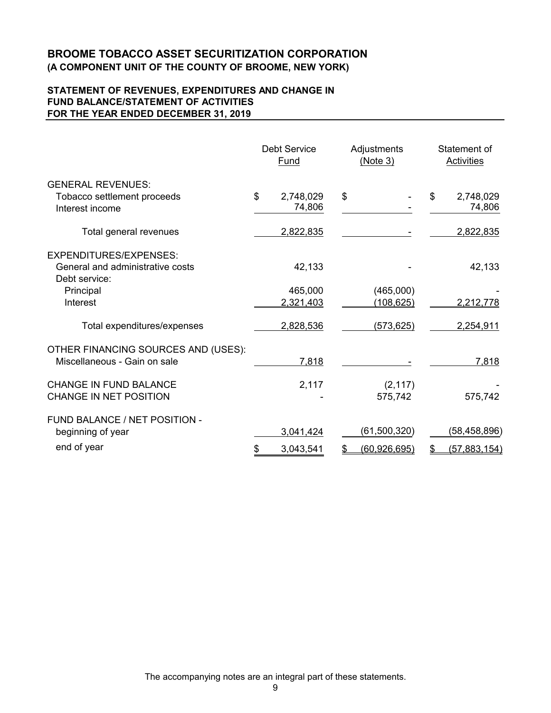# **STATEMENT OF REVENUES, EXPENDITURES AND CHANGE IN FUND BALANCE/STATEMENT OF ACTIVITIES FOR THE YEAR ENDED DECEMBER 31, 2019**

|                                                                             | <b>Debt Service</b><br>Fund | Adjustments<br>(Note 3) | Statement of<br>Activities |
|-----------------------------------------------------------------------------|-----------------------------|-------------------------|----------------------------|
| <b>GENERAL REVENUES:</b><br>Tobacco settlement proceeds<br>Interest income  | \$<br>2,748,029<br>74,806   | \$                      | \$<br>2,748,029<br>74,806  |
| Total general revenues                                                      | 2,822,835                   |                         | 2,822,835                  |
| EXPENDITURES/EXPENSES:<br>General and administrative costs<br>Debt service: | 42,133                      |                         | 42,133                     |
| Principal<br>Interest                                                       | 465,000<br>2,321,403        | (465,000)<br>(108, 625) | 2,212,778                  |
| Total expenditures/expenses                                                 | 2,828,536                   | (573, 625)              | 2,254,911                  |
| OTHER FINANCING SOURCES AND (USES):<br>Miscellaneous - Gain on sale         | 7,818                       |                         | 7,818                      |
| <b>CHANGE IN FUND BALANCE</b><br>CHANGE IN NET POSITION                     | 2,117                       | (2, 117)<br>575,742     | 575,742                    |
| FUND BALANCE / NET POSITION -<br>beginning of year                          | 3,041,424                   | (61,500,320)            | (58,458,896)               |
| end of year                                                                 | \$<br>3,043,541             | (60, 926, 695)          | (57, 883, 154)             |

The accompanying notes are an integral part of these statements.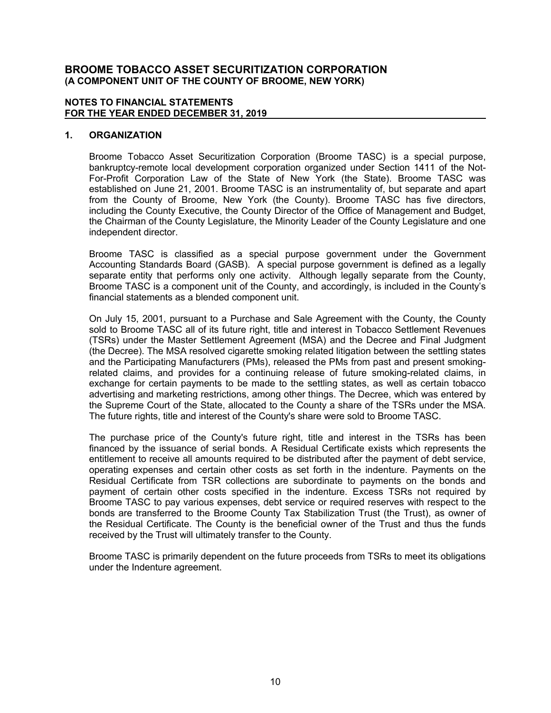#### **NOTES TO FINANCIAL STATEMENTS FOR THE YEAR ENDED DECEMBER 31, 2019**

# **1. ORGANIZATION**

Broome Tobacco Asset Securitization Corporation (Broome TASC) is a special purpose, bankruptcy-remote local development corporation organized under Section 1411 of the Not-For-Profit Corporation Law of the State of New York (the State). Broome TASC was established on June 21, 2001. Broome TASC is an instrumentality of, but separate and apart from the County of Broome, New York (the County). Broome TASC has five directors, including the County Executive, the County Director of the Office of Management and Budget, the Chairman of the County Legislature, the Minority Leader of the County Legislature and one independent director.

Broome TASC is classified as a special purpose government under the Government Accounting Standards Board (GASB). A special purpose government is defined as a legally separate entity that performs only one activity. Although legally separate from the County, Broome TASC is a component unit of the County, and accordingly, is included in the County's financial statements as a blended component unit.

On July 15, 2001, pursuant to a Purchase and Sale Agreement with the County, the County sold to Broome TASC all of its future right, title and interest in Tobacco Settlement Revenues (TSRs) under the Master Settlement Agreement (MSA) and the Decree and Final Judgment (the Decree). The MSA resolved cigarette smoking related litigation between the settling states and the Participating Manufacturers (PMs), released the PMs from past and present smokingrelated claims, and provides for a continuing release of future smoking-related claims, in exchange for certain payments to be made to the settling states, as well as certain tobacco advertising and marketing restrictions, among other things. The Decree, which was entered by the Supreme Court of the State, allocated to the County a share of the TSRs under the MSA. The future rights, title and interest of the County's share were sold to Broome TASC.

The purchase price of the County's future right, title and interest in the TSRs has been financed by the issuance of serial bonds. A Residual Certificate exists which represents the entitlement to receive all amounts required to be distributed after the payment of debt service, operating expenses and certain other costs as set forth in the indenture. Payments on the Residual Certificate from TSR collections are subordinate to payments on the bonds and payment of certain other costs specified in the indenture. Excess TSRs not required by Broome TASC to pay various expenses, debt service or required reserves with respect to the bonds are transferred to the Broome County Tax Stabilization Trust (the Trust), as owner of the Residual Certificate. The County is the beneficial owner of the Trust and thus the funds received by the Trust will ultimately transfer to the County.

Broome TASC is primarily dependent on the future proceeds from TSRs to meet its obligations under the Indenture agreement.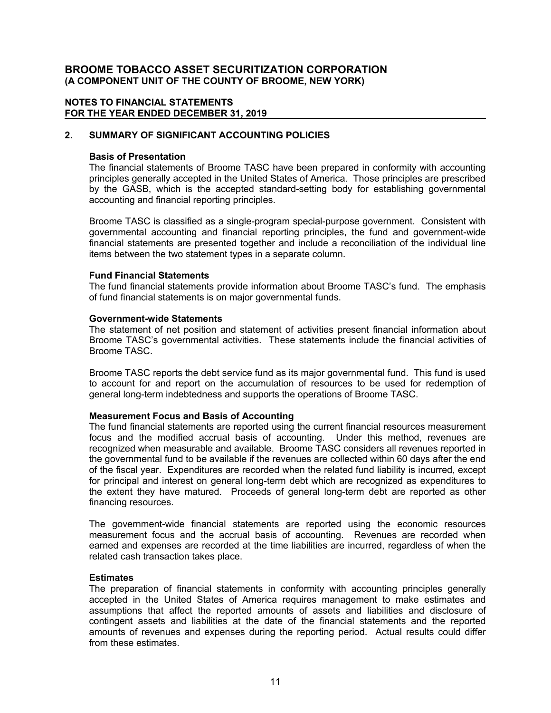#### **NOTES TO FINANCIAL STATEMENTS FOR THE YEAR ENDED DECEMBER 31, 2019**

# **2. SUMMARY OF SIGNIFICANT ACCOUNTING POLICIES**

### **Basis of Presentation**

The financial statements of Broome TASC have been prepared in conformity with accounting principles generally accepted in the United States of America. Those principles are prescribed by the GASB, which is the accepted standard-setting body for establishing governmental accounting and financial reporting principles.

Broome TASC is classified as a single-program special-purpose government. Consistent with governmental accounting and financial reporting principles, the fund and government-wide financial statements are presented together and include a reconciliation of the individual line items between the two statement types in a separate column.

### **Fund Financial Statements**

The fund financial statements provide information about Broome TASC's fund. The emphasis of fund financial statements is on major governmental funds.

# **Government-wide Statements**

The statement of net position and statement of activities present financial information about Broome TASC's governmental activities. These statements include the financial activities of Broome TASC.

Broome TASC reports the debt service fund as its major governmental fund. This fund is used to account for and report on the accumulation of resources to be used for redemption of general long-term indebtedness and supports the operations of Broome TASC.

# **Measurement Focus and Basis of Accounting**

The fund financial statements are reported using the current financial resources measurement focus and the modified accrual basis of accounting. Under this method, revenues are recognized when measurable and available. Broome TASC considers all revenues reported in the governmental fund to be available if the revenues are collected within 60 days after the end of the fiscal year. Expenditures are recorded when the related fund liability is incurred, except for principal and interest on general long-term debt which are recognized as expenditures to the extent they have matured. Proceeds of general long-term debt are reported as other financing resources.

The government-wide financial statements are reported using the economic resources measurement focus and the accrual basis of accounting. Revenues are recorded when earned and expenses are recorded at the time liabilities are incurred, regardless of when the related cash transaction takes place.

#### **Estimates**

The preparation of financial statements in conformity with accounting principles generally accepted in the United States of America requires management to make estimates and assumptions that affect the reported amounts of assets and liabilities and disclosure of contingent assets and liabilities at the date of the financial statements and the reported amounts of revenues and expenses during the reporting period. Actual results could differ from these estimates.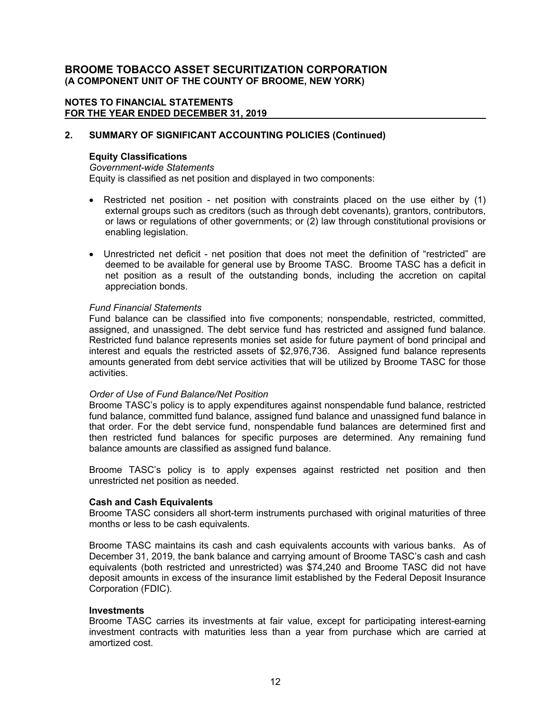### **NOTES TO FINANCIAL STATEMENTS FOR THE YEAR ENDED DECEMBER 31, 2019**

### **2. SUMMARY OF SIGNIFICANT ACCOUNTING POLICIES (Continued)**

### **Equity Classifications**

*Government-wide Statements* Equity is classified as net position and displayed in two components:

- Restricted net position net position with constraints placed on the use either by (1) external groups such as creditors (such as through debt covenants), grantors, contributors, or laws or regulations of other governments; or (2) law through constitutional provisions or enabling legislation.
- Unrestricted net deficit net position that does not meet the definition of "restricted" are deemed to be available for general use by Broome TASC. Broome TASC has a deficit in net position as a result of the outstanding bonds, including the accretion on capital appreciation bonds.

### *Fund Financial Statements*

Fund balance can be classified into five components; nonspendable, restricted, committed, assigned, and unassigned. The debt service fund has restricted and assigned fund balance. Restricted fund balance represents monies set aside for future payment of bond principal and interest and equals the restricted assets of \$2,976,736. Assigned fund balance represents amounts generated from debt service activities that will be utilized by Broome TASC for those activities.

#### *Order of Use of Fund Balance/Net Position*

Broome TASC's policy is to apply expenditures against nonspendable fund balance, restricted fund balance, committed fund balance, assigned fund balance and unassigned fund balance in that order. For the debt service fund, nonspendable fund balances are determined first and then restricted fund balances for specific purposes are determined. Any remaining fund balance amounts are classified as assigned fund balance.

Broome TASC's policy is to apply expenses against restricted net position and then unrestricted net position as needed.

#### **Cash and Cash Equivalents**

Broome TASC considers all short-term instruments purchased with original maturities of three months or less to be cash equivalents.

Broome TASC maintains its cash and cash equivalents accounts with various banks. As of December 31, 2019, the bank balance and carrying amount of Broome TASC's cash and cash equivalents (both restricted and unrestricted) was \$74,240 and Broome TASC did not have deposit amounts in excess of the insurance limit established by the Federal Deposit Insurance Corporation (FDIC).

#### **Investments**

Broome TASC carries its investments at fair value, except for participating interest-earning investment contracts with maturities less than a year from purchase which are carried at amortized cost.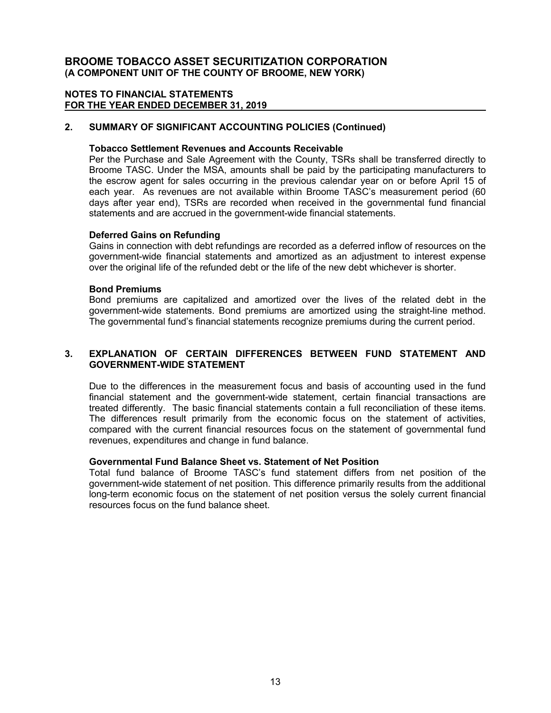# **NOTES TO FINANCIAL STATEMENTS FOR THE YEAR ENDED DECEMBER 31, 2019**

# **2. SUMMARY OF SIGNIFICANT ACCOUNTING POLICIES (Continued)**

#### **Tobacco Settlement Revenues and Accounts Receivable**

Per the Purchase and Sale Agreement with the County, TSRs shall be transferred directly to Broome TASC. Under the MSA, amounts shall be paid by the participating manufacturers to the escrow agent for sales occurring in the previous calendar year on or before April 15 of each year. As revenues are not available within Broome TASC's measurement period (60 days after year end), TSRs are recorded when received in the governmental fund financial statements and are accrued in the government-wide financial statements.

### **Deferred Gains on Refunding**

Gains in connection with debt refundings are recorded as a deferred inflow of resources on the government-wide financial statements and amortized as an adjustment to interest expense over the original life of the refunded debt or the life of the new debt whichever is shorter.

### **Bond Premiums**

Bond premiums are capitalized and amortized over the lives of the related debt in the government-wide statements. Bond premiums are amortized using the straight-line method. The governmental fund's financial statements recognize premiums during the current period.

# **3. EXPLANATION OF CERTAIN DIFFERENCES BETWEEN FUND STATEMENT AND GOVERNMENT-WIDE STATEMENT**

Due to the differences in the measurement focus and basis of accounting used in the fund financial statement and the government-wide statement, certain financial transactions are treated differently. The basic financial statements contain a full reconciliation of these items. The differences result primarily from the economic focus on the statement of activities, compared with the current financial resources focus on the statement of governmental fund revenues, expenditures and change in fund balance.

# **Governmental Fund Balance Sheet vs. Statement of Net Position**

Total fund balance of Broome TASC's fund statement differs from net position of the government-wide statement of net position. This difference primarily results from the additional long-term economic focus on the statement of net position versus the solely current financial resources focus on the fund balance sheet.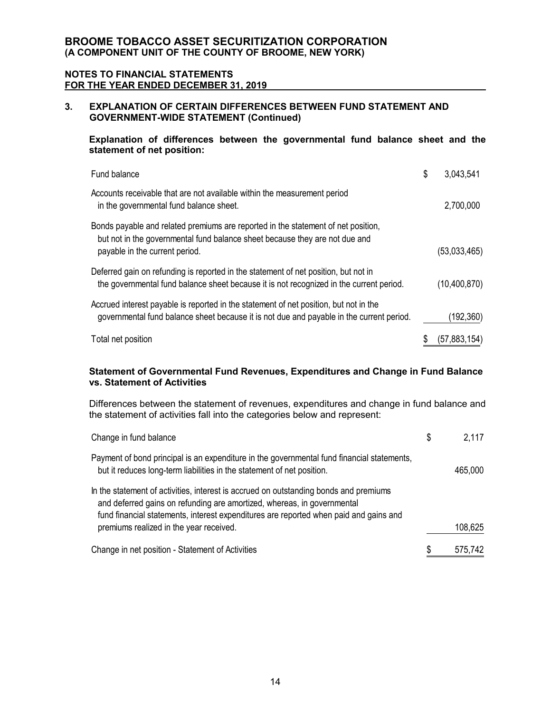#### **NOTES TO FINANCIAL STATEMENTS FOR THE YEAR ENDED DECEMBER 31, 2019**

# **3. EXPLANATION OF CERTAIN DIFFERENCES BETWEEN FUND STATEMENT AND GOVERNMENT-WIDE STATEMENT (Continued)**

**Explanation of differences between the governmental fund balance sheet and the statement of net position:**

| Fund balance                                                                                                                                                                                       | \$<br>3,043,541 |
|----------------------------------------------------------------------------------------------------------------------------------------------------------------------------------------------------|-----------------|
| Accounts receivable that are not available within the measurement period<br>in the governmental fund balance sheet.                                                                                | 2,700,000       |
| Bonds payable and related premiums are reported in the statement of net position,<br>but not in the governmental fund balance sheet because they are not due and<br>payable in the current period. | (53,033,465)    |
| Deferred gain on refunding is reported in the statement of net position, but not in<br>the governmental fund balance sheet because it is not recognized in the current period.                     | (10, 400, 870)  |
| Accrued interest payable is reported in the statement of net position, but not in the<br>governmental fund balance sheet because it is not due and payable in the current period.                  | (192,360)       |
| Total net position                                                                                                                                                                                 | (57,883,154)    |

# **Statement of Governmental Fund Revenues, Expenditures and Change in Fund Balance vs. Statement of Activities**

Differences between the statement of revenues, expenditures and change in fund balance and the statement of activities fall into the categories below and represent:

| Change in fund balance                                                                                                                                                                                                                                    | S | 2,117   |
|-----------------------------------------------------------------------------------------------------------------------------------------------------------------------------------------------------------------------------------------------------------|---|---------|
| Payment of bond principal is an expenditure in the governmental fund financial statements,<br>but it reduces long-term liabilities in the statement of net position.                                                                                      |   | 465,000 |
| In the statement of activities, interest is accrued on outstanding bonds and premiums<br>and deferred gains on refunding are amortized, whereas, in governmental<br>fund financial statements, interest expenditures are reported when paid and gains and |   |         |
| premiums realized in the year received.                                                                                                                                                                                                                   |   | 108,625 |
| Change in net position - Statement of Activities                                                                                                                                                                                                          | S | 575,742 |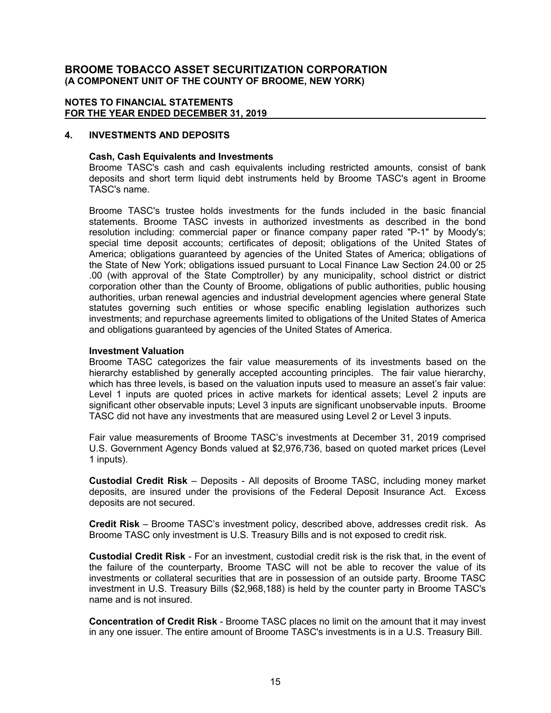### **NOTES TO FINANCIAL STATEMENTS FOR THE YEAR ENDED DECEMBER 31, 2019**

### **4. INVESTMENTS AND DEPOSITS**

### **Cash, Cash Equivalents and Investments**

Broome TASC's cash and cash equivalents including restricted amounts, consist of bank deposits and short term liquid debt instruments held by Broome TASC's agent in Broome TASC's name.

Broome TASC's trustee holds investments for the funds included in the basic financial statements. Broome TASC invests in authorized investments as described in the bond resolution including: commercial paper or finance company paper rated "P-1" by Moody's; special time deposit accounts; certificates of deposit; obligations of the United States of America; obligations guaranteed by agencies of the United States of America; obligations of the State of New York; obligations issued pursuant to Local Finance Law Section 24.00 or 25 .00 (with approval of the State Comptroller) by any municipality, school district or district corporation other than the County of Broome, obligations of public authorities, public housing authorities, urban renewal agencies and industrial development agencies where general State statutes governing such entities or whose specific enabling legislation authorizes such investments; and repurchase agreements limited to obligations of the United States of America and obligations guaranteed by agencies of the United States of America.

#### **Investment Valuation**

Broome TASC categorizes the fair value measurements of its investments based on the hierarchy established by generally accepted accounting principles. The fair value hierarchy, which has three levels, is based on the valuation inputs used to measure an asset's fair value: Level 1 inputs are quoted prices in active markets for identical assets; Level 2 inputs are significant other observable inputs; Level 3 inputs are significant unobservable inputs. Broome TASC did not have any investments that are measured using Level 2 or Level 3 inputs.

Fair value measurements of Broome TASC's investments at December 31, 2019 comprised U.S. Government Agency Bonds valued at \$2,976,736, based on quoted market prices (Level 1 inputs).

**Custodial Credit Risk** – Deposits - All deposits of Broome TASC, including money market deposits, are insured under the provisions of the Federal Deposit Insurance Act. Excess deposits are not secured.

**Credit Risk** – Broome TASC's investment policy, described above, addresses credit risk. As Broome TASC only investment is U.S. Treasury Bills and is not exposed to credit risk.

**Custodial Credit Risk** - For an investment, custodial credit risk is the risk that, in the event of the failure of the counterparty, Broome TASC will not be able to recover the value of its investments or collateral securities that are in possession of an outside party. Broome TASC investment in U.S. Treasury Bills (\$2,968,188) is held by the counter party in Broome TASC's name and is not insured.

**Concentration of Credit Risk** - Broome TASC places no limit on the amount that it may invest in any one issuer. The entire amount of Broome TASC's investments is in a U.S. Treasury Bill.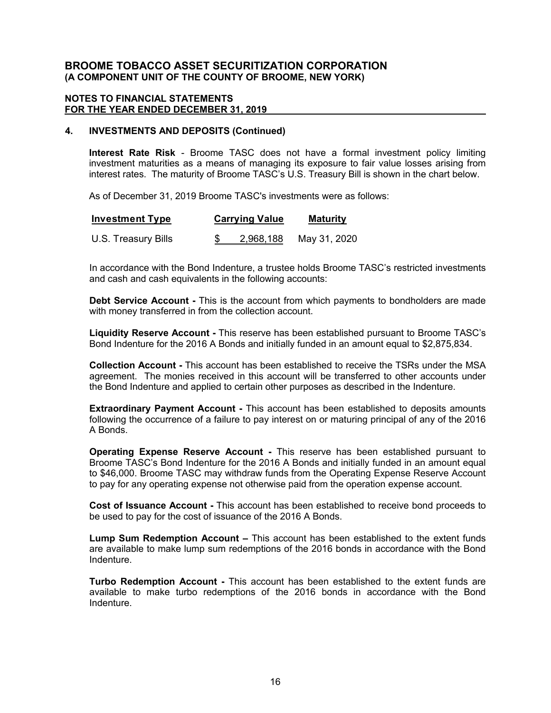### **NOTES TO FINANCIAL STATEMENTS FOR THE YEAR ENDED DECEMBER 31, 2019**

### **4. INVESTMENTS AND DEPOSITS (Continued)**

**Interest Rate Risk** - Broome TASC does not have a formal investment policy limiting investment maturities as a means of managing its exposure to fair value losses arising from interest rates. The maturity of Broome TASC's U.S. Treasury Bill is shown in the chart below.

As of December 31, 2019 Broome TASC's investments were as follows:

| <b>Investment Type</b> | <b>Carrying Value</b> | <b>Maturity</b> |  |  |
|------------------------|-----------------------|-----------------|--|--|
| U.S. Treasury Bills    | 2,968,188             | May 31, 2020    |  |  |

In accordance with the Bond Indenture, a trustee holds Broome TASC's restricted investments and cash and cash equivalents in the following accounts:

**Debt Service Account -** This is the account from which payments to bondholders are made with money transferred in from the collection account.

**Liquidity Reserve Account -** This reserve has been established pursuant to Broome TASC's Bond Indenture for the 2016 A Bonds and initially funded in an amount equal to \$2,875,834.

**Collection Account -** This account has been established to receive the TSRs under the MSA agreement. The monies received in this account will be transferred to other accounts under the Bond Indenture and applied to certain other purposes as described in the Indenture.

**Extraordinary Payment Account -** This account has been established to deposits amounts following the occurrence of a failure to pay interest on or maturing principal of any of the 2016 A Bonds.

**Operating Expense Reserve Account -** This reserve has been established pursuant to Broome TASC's Bond Indenture for the 2016 A Bonds and initially funded in an amount equal to \$46,000. Broome TASC may withdraw funds from the Operating Expense Reserve Account to pay for any operating expense not otherwise paid from the operation expense account.

**Cost of Issuance Account -** This account has been established to receive bond proceeds to be used to pay for the cost of issuance of the 2016 A Bonds.

**Lump Sum Redemption Account –** This account has been established to the extent funds are available to make lump sum redemptions of the 2016 bonds in accordance with the Bond Indenture.

**Turbo Redemption Account -** This account has been established to the extent funds are available to make turbo redemptions of the 2016 bonds in accordance with the Bond Indenture.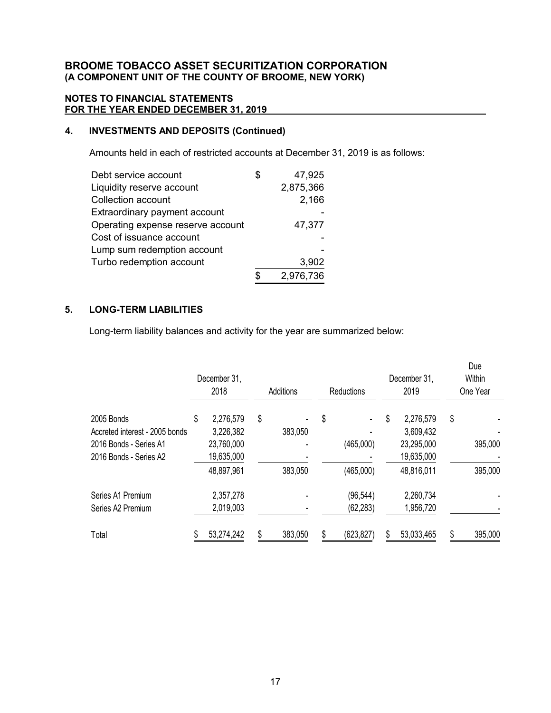# **NOTES TO FINANCIAL STATEMENTS FOR THE YEAR ENDED DECEMBER 31, 2019**

# **4. INVESTMENTS AND DEPOSITS (Continued)**

Amounts held in each of restricted accounts at December 31, 2019 is as follows:

| Debt service account              | \$<br>47,925 |
|-----------------------------------|--------------|
| Liquidity reserve account         | 2,875,366    |
| Collection account                | 2,166        |
| Extraordinary payment account     |              |
| Operating expense reserve account | 47,377       |
| Cost of issuance account          |              |
| Lump sum redemption account       |              |
| Turbo redemption account          | 3,902        |
|                                   | 2,976,736    |

# **5. LONG-TERM LIABILITIES**

Long-term liability balances and activity for the year are summarized below:

|                                |    | December 31,<br>2018 | Additions |         | <b>Reductions</b> |            | December 31,<br>2019 |            |    | Due<br>Within<br>One Year |
|--------------------------------|----|----------------------|-----------|---------|-------------------|------------|----------------------|------------|----|---------------------------|
| 2005 Bonds                     | \$ | 2,276,579            | \$        |         | \$                |            | S                    | 2,276,579  | \$ |                           |
| Accreted interest - 2005 bonds |    | 3,226,382            |           | 383,050 |                   |            |                      | 3,609,432  |    |                           |
| 2016 Bonds - Series A1         |    | 23,760,000           |           |         |                   | (465,000)  |                      | 23,295,000 |    | 395,000                   |
| 2016 Bonds - Series A2         |    | 19,635,000           |           |         |                   |            |                      | 19,635,000 |    |                           |
|                                |    | 48,897,961           |           | 383,050 |                   | (465,000)  |                      | 48,816,011 |    | 395,000                   |
| Series A1 Premium              |    | 2,357,278            |           |         |                   | (96, 544)  |                      | 2,260,734  |    |                           |
| Series A2 Premium              |    | 2,019,003            |           |         |                   | (62, 283)  |                      | 1,956,720  |    |                           |
| Total                          |    | 53,274,242           |           | 383,050 | \$                | (623, 827) | S                    | 53,033,465 | S  | 395,000                   |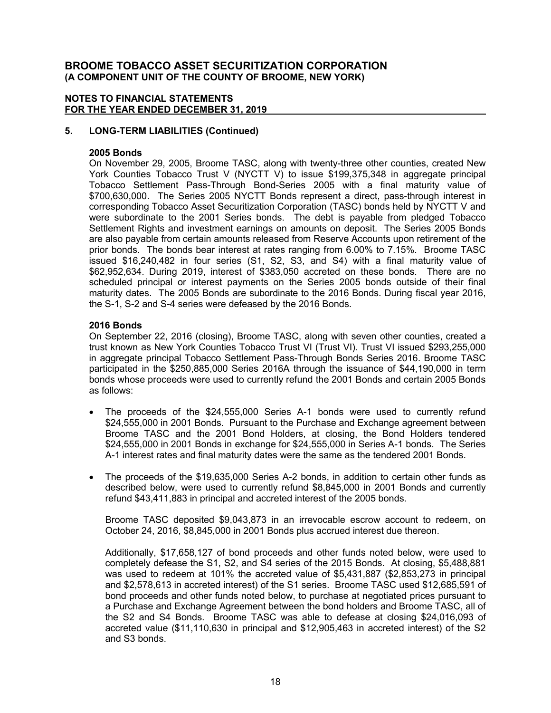### **NOTES TO FINANCIAL STATEMENTS FOR THE YEAR ENDED DECEMBER 31, 2019**

# **5. LONG-TERM LIABILITIES (Continued)**

# **2005 Bonds**

On November 29, 2005, Broome TASC, along with twenty-three other counties, created New York Counties Tobacco Trust V (NYCTT V) to issue \$199,375,348 in aggregate principal Tobacco Settlement Pass-Through Bond-Series 2005 with a final maturity value of \$700,630,000. The Series 2005 NYCTT Bonds represent a direct, pass-through interest in corresponding Tobacco Asset Securitization Corporation (TASC) bonds held by NYCTT V and were subordinate to the 2001 Series bonds. The debt is payable from pledged Tobacco Settlement Rights and investment earnings on amounts on deposit. The Series 2005 Bonds are also payable from certain amounts released from Reserve Accounts upon retirement of the prior bonds. The bonds bear interest at rates ranging from 6.00% to 7.15%. Broome TASC issued \$16,240,482 in four series (S1, S2, S3, and S4) with a final maturity value of \$62,952,634. During 2019, interest of \$383,050 accreted on these bonds. There are no scheduled principal or interest payments on the Series 2005 bonds outside of their final maturity dates. The 2005 Bonds are subordinate to the 2016 Bonds. During fiscal year 2016, the S-1, S-2 and S-4 series were defeased by the 2016 Bonds.

### **2016 Bonds**

On September 22, 2016 (closing), Broome TASC, along with seven other counties, created a trust known as New York Counties Tobacco Trust VI (Trust VI). Trust VI issued \$293,255,000 in aggregate principal Tobacco Settlement Pass-Through Bonds Series 2016. Broome TASC participated in the \$250,885,000 Series 2016A through the issuance of \$44,190,000 in term bonds whose proceeds were used to currently refund the 2001 Bonds and certain 2005 Bonds as follows:

- The proceeds of the \$24,555,000 Series A-1 bonds were used to currently refund \$24,555,000 in 2001 Bonds. Pursuant to the Purchase and Exchange agreement between Broome TASC and the 2001 Bond Holders, at closing, the Bond Holders tendered \$24,555,000 in 2001 Bonds in exchange for \$24,555,000 in Series A-1 bonds. The Series A-1 interest rates and final maturity dates were the same as the tendered 2001 Bonds.
- The proceeds of the \$19,635,000 Series A-2 bonds, in addition to certain other funds as described below, were used to currently refund \$8,845,000 in 2001 Bonds and currently refund \$43,411,883 in principal and accreted interest of the 2005 bonds.

Broome TASC deposited \$9,043,873 in an irrevocable escrow account to redeem, on October 24, 2016, \$8,845,000 in 2001 Bonds plus accrued interest due thereon.

Additionally, \$17,658,127 of bond proceeds and other funds noted below, were used to completely defease the S1, S2, and S4 series of the 2015 Bonds. At closing, \$5,488,881 was used to redeem at 101% the accreted value of \$5,431,887 (\$2,853,273 in principal and \$2,578,613 in accreted interest) of the S1 series. Broome TASC used \$12,685,591 of bond proceeds and other funds noted below, to purchase at negotiated prices pursuant to a Purchase and Exchange Agreement between the bond holders and Broome TASC, all of the S2 and S4 Bonds. Broome TASC was able to defease at closing \$24,016,093 of accreted value (\$11,110,630 in principal and \$12,905,463 in accreted interest) of the S2 and S3 bonds.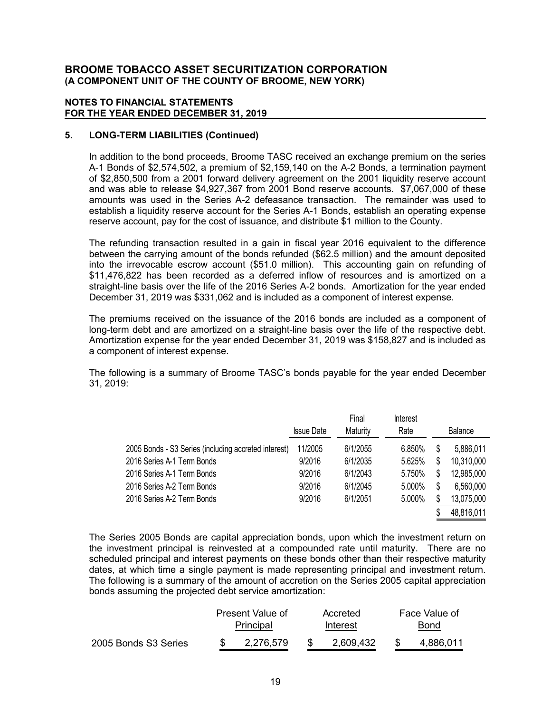### **NOTES TO FINANCIAL STATEMENTS FOR THE YEAR ENDED DECEMBER 31, 2019**

# **5. LONG-TERM LIABILITIES (Continued)**

In addition to the bond proceeds, Broome TASC received an exchange premium on the series A-1 Bonds of \$2,574,502, a premium of \$2,159,140 on the A-2 Bonds, a termination payment of \$2,850,500 from a 2001 forward delivery agreement on the 2001 liquidity reserve account and was able to release \$4,927,367 from 2001 Bond reserve accounts. \$7,067,000 of these amounts was used in the Series A-2 defeasance transaction. The remainder was used to establish a liquidity reserve account for the Series A-1 Bonds, establish an operating expense reserve account, pay for the cost of issuance, and distribute \$1 million to the County.

The refunding transaction resulted in a gain in fiscal year 2016 equivalent to the difference between the carrying amount of the bonds refunded (\$62.5 million) and the amount deposited into the irrevocable escrow account (\$51.0 million). This accounting gain on refunding of \$11,476,822 has been recorded as a deferred inflow of resources and is amortized on a straight-line basis over the life of the 2016 Series A-2 bonds. Amortization for the year ended December 31, 2019 was \$331,062 and is included as a component of interest expense.

The premiums received on the issuance of the 2016 bonds are included as a component of long-term debt and are amortized on a straight-line basis over the life of the respective debt. Amortization expense for the year ended December 31, 2019 was \$158,827 and is included as a component of interest expense.

The following is a summary of Broome TASC's bonds payable for the year ended December 31, 2019:

|                                                      | <b>Issue Date</b> | Final<br>Maturity | Interest<br>Rate |    | <b>Balance</b> |
|------------------------------------------------------|-------------------|-------------------|------------------|----|----------------|
| 2005 Bonds - S3 Series (including accreted interest) | 11/2005           | 6/1/2055          | 6.850%           | S  | 5,886,011      |
| 2016 Series A-1 Term Bonds                           | 9/2016            | 6/1/2035          | 5.625%           | \$ | 10,310,000     |
| 2016 Series A-1 Term Bonds                           | 9/2016            | 6/1/2043          | 5.750%           | \$ | 12,985,000     |
| 2016 Series A-2 Term Bonds                           | 9/2016            | 6/1/2045          | 5.000%           | \$ | 6,560,000      |
| 2016 Series A-2 Term Bonds                           | 9/2016            | 6/1/2051          | 5.000%           | S  | 13,075,000     |
|                                                      |                   |                   |                  |    | 48,816,011     |

The Series 2005 Bonds are capital appreciation bonds, upon which the investment return on the investment principal is reinvested at a compounded rate until maturity. There are no scheduled principal and interest payments on these bonds other than their respective maturity dates, at which time a single payment is made representing principal and investment return. The following is a summary of the amount of accretion on the Series 2005 capital appreciation bonds assuming the projected debt service amortization:

|                      | Present Value of<br>Principal |  | Accreted<br><b>Interest</b> |  | Face Value of<br><b>Bond</b> |  |
|----------------------|-------------------------------|--|-----------------------------|--|------------------------------|--|
| 2005 Bonds S3 Series | 2,276,579                     |  | 2,609,432                   |  | 4.886.011                    |  |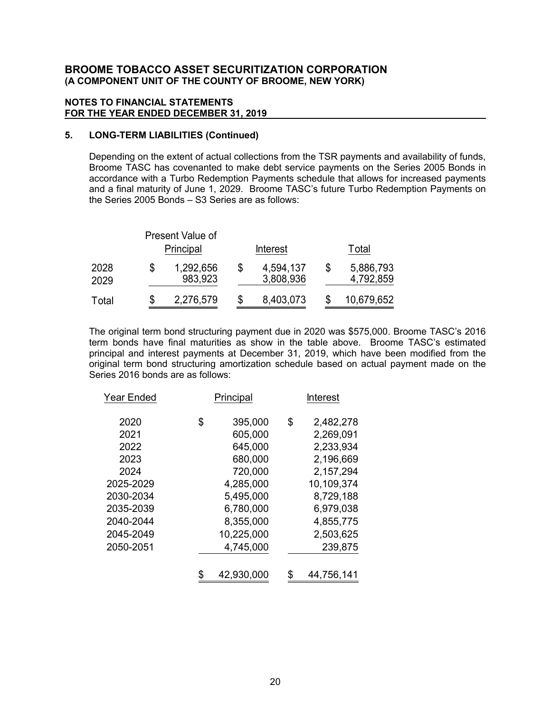### **NOTES TO FINANCIAL STATEMENTS FOR THE YEAR ENDED DECEMBER 31, 2019**

# **5. LONG-TERM LIABILITIES (Continued)**

Depending on the extent of actual collections from the TSR payments and availability of funds, Broome TASC has covenanted to make debt service payments on the Series 2005 Bonds in accordance with a Turbo Redemption Payments schedule that allows for increased payments and a final maturity of June 1, 2029. Broome TASC's future Turbo Redemption Payments on the Series 2005 Bonds – S3 Series are as follows:

|              | Present Value of<br>Principal |   | <b>Interest</b>        |   | Total                  |
|--------------|-------------------------------|---|------------------------|---|------------------------|
| 2028<br>2029 | 1,292,656<br>983,923          | S | 4,594,137<br>3,808,936 | S | 5,886,793<br>4,792,859 |
| Total        | 2,276,579                     |   | 8,403,073              |   | 10,679,652             |

The original term bond structuring payment due in 2020 was \$575,000. Broome TASC's 2016 term bonds have final maturities as show in the table above. Broome TASC's estimated principal and interest payments at December 31, 2019, which have been modified from the original term bond structuring amortization schedule based on actual payment made on the Series 2016 bonds are as follows:

| Year Ended | Principal     |    | Interest   |
|------------|---------------|----|------------|
| 2020       | \$<br>395,000 | \$ | 2,482,278  |
| 2021       | 605,000       |    | 2,269,091  |
| 2022       | 645,000       |    | 2,233,934  |
| 2023       | 680,000       |    | 2,196,669  |
| 2024       | 720,000       |    | 2,157,294  |
| 2025-2029  | 4,285,000     |    | 10,109,374 |
| 2030-2034  | 5,495,000     |    | 8,729,188  |
| 2035-2039  | 6,780,000     |    | 6,979,038  |
| 2040-2044  | 8,355,000     |    | 4,855,775  |
| 2045-2049  | 10,225,000    |    | 2,503,625  |
| 2050-2051  | 4,745,000     |    | 239,875    |
|            | 42,930,000    |    | 44,756,141 |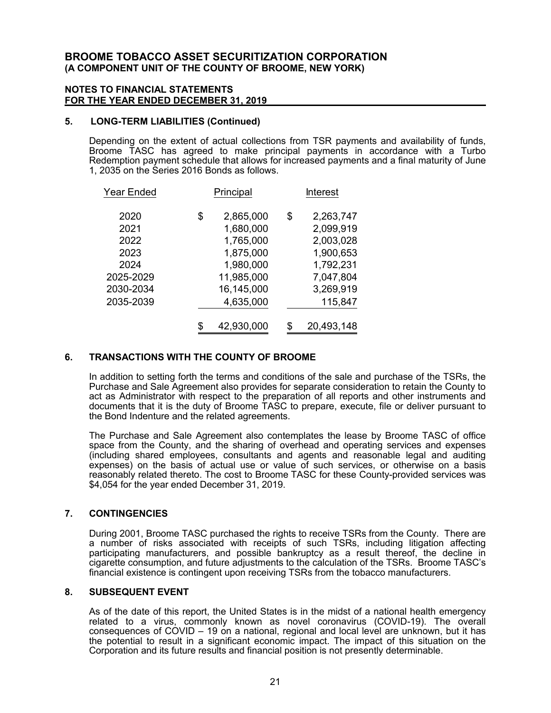#### **NOTES TO FINANCIAL STATEMENTS FOR THE YEAR ENDED DECEMBER 31, 2019**

#### **5. LONG-TERM LIABILITIES (Continued)**

Depending on the extent of actual collections from TSR payments and availability of funds, Broome TASC has agreed to make principal payments in accordance with a Turbo Redemption payment schedule that allows for increased payments and a final maturity of June 1, 2035 on the Series 2016 Bonds as follows.

| <b>Year Ended</b> |    | Principal  |    | <b>Interest</b> |  |  |
|-------------------|----|------------|----|-----------------|--|--|
| 2020              | \$ | 2,865,000  | \$ | 2,263,747       |  |  |
| 2021              |    | 1,680,000  |    | 2,099,919       |  |  |
| 2022              |    | 1,765,000  |    | 2,003,028       |  |  |
| 2023              |    | 1,875,000  |    | 1,900,653       |  |  |
| 2024              |    | 1,980,000  |    | 1,792,231       |  |  |
| 2025-2029         |    | 11,985,000 |    | 7,047,804       |  |  |
| 2030-2034         |    | 16,145,000 |    | 3,269,919       |  |  |
| 2035-2039         |    | 4,635,000  |    | 115,847         |  |  |
|                   |    |            |    |                 |  |  |
|                   | \$ | 42,930,000 | S  | 20,493,148      |  |  |

## **6. TRANSACTIONS WITH THE COUNTY OF BROOME**

In addition to setting forth the terms and conditions of the sale and purchase of the TSRs, the Purchase and Sale Agreement also provides for separate consideration to retain the County to act as Administrator with respect to the preparation of all reports and other instruments and documents that it is the duty of Broome TASC to prepare, execute, file or deliver pursuant to the Bond Indenture and the related agreements.

The Purchase and Sale Agreement also contemplates the lease by Broome TASC of office space from the County, and the sharing of overhead and operating services and expenses (including shared employees, consultants and agents and reasonable legal and auditing expenses) on the basis of actual use or value of such services, or otherwise on a basis reasonably related thereto. The cost to Broome TASC for these County-provided services was \$4,054 for the year ended December 31, 2019.

#### **7. CONTINGENCIES**

During 2001, Broome TASC purchased the rights to receive TSRs from the County. There are a number of risks associated with receipts of such TSRs, including litigation affecting participating manufacturers, and possible bankruptcy as a result thereof, the decline in cigarette consumption, and future adjustments to the calculation of the TSRs. Broome TASC's financial existence is contingent upon receiving TSRs from the tobacco manufacturers.

#### **8. SUBSEQUENT EVENT**

As of the date of this report, the United States is in the midst of a national health emergency related to a virus, commonly known as novel coronavirus (COVID-19). The overall consequences of COVID – 19 on a national, regional and local level are unknown, but it has the potential to result in a significant economic impact. The impact of this situation on the Corporation and its future results and financial position is not presently determinable.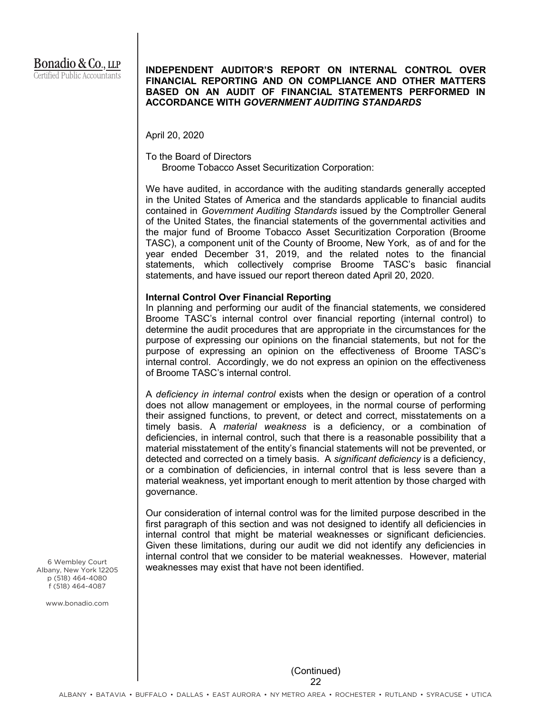# **INDEPENDENT AUDITOR'S REPORT ON INTERNAL CONTROL OVER FINANCIAL REPORTING AND ON COMPLIANCE AND OTHER MATTERS BASED ON AN AUDIT OF FINANCIAL STATEMENTS PERFORMED IN ACCORDANCE WITH** *GOVERNMENT AUDITING STANDARDS*

April 20, 2020

To the Board of Directors Broome Tobacco Asset Securitization Corporation:

We have audited, in accordance with the auditing standards generally accepted in the United States of America and the standards applicable to financial audits contained in *Government Auditing Standards* issued by the Comptroller General of the United States, the financial statements of the governmental activities and the major fund of Broome Tobacco Asset Securitization Corporation (Broome TASC), a component unit of the County of Broome, New York, as of and for the year ended December 31, 2019, and the related notes to the financial statements, which collectively comprise Broome TASC's basic financial statements, and have issued our report thereon dated April 20, 2020.

### **Internal Control Over Financial Reporting**

In planning and performing our audit of the financial statements, we considered Broome TASC's internal control over financial reporting (internal control) to determine the audit procedures that are appropriate in the circumstances for the purpose of expressing our opinions on the financial statements, but not for the purpose of expressing an opinion on the effectiveness of Broome TASC's internal control. Accordingly, we do not express an opinion on the effectiveness of Broome TASC's internal control.

A *deficiency in internal control* exists when the design or operation of a control does not allow management or employees, in the normal course of performing their assigned functions, to prevent, or detect and correct, misstatements on a timely basis. A *material weakness* is a deficiency, or a combination of deficiencies, in internal control, such that there is a reasonable possibility that a material misstatement of the entity's financial statements will not be prevented, or detected and corrected on a timely basis. A *significant deficiency* is a deficiency, or a combination of deficiencies, in internal control that is less severe than a material weakness, yet important enough to merit attention by those charged with governance.

Our consideration of internal control was for the limited purpose described in the first paragraph of this section and was not designed to identify all deficiencies in internal control that might be material weaknesses or significant deficiencies. Given these limitations, during our audit we did not identify any deficiencies in internal control that we consider to be material weaknesses. However, material weaknesses may exist that have not been identified.

6 Wembley Court Albany, New York 12205 p (518) 464-4080 f (518) 464-4087

www.bonadio.com